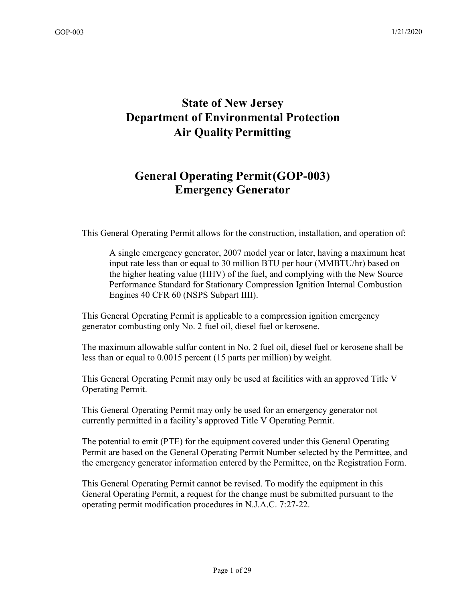# **State of New Jersey Department of Environmental Protection Air QualityPermitting**

# **General Operating Permit(GOP-003) Emergency Generator**

This General Operating Permit allows for the construction, installation, and operation of:

A single emergency generator, 2007 model year or later, having a maximum heat input rate less than or equal to 30 million BTU per hour (MMBTU/hr) based on the higher heating value (HHV) of the fuel, and complying with the New Source Performance Standard for Stationary Compression Ignition Internal Combustion Engines 40 CFR 60 (NSPS Subpart IIII).

This General Operating Permit is applicable to a compression ignition emergency generator combusting only No. 2 fuel oil, diesel fuel or kerosene.

The maximum allowable sulfur content in No. 2 fuel oil, diesel fuel or kerosene shall be less than or equal to 0.0015 percent (15 parts per million) by weight.

This General Operating Permit may only be used at facilities with an approved Title V Operating Permit.

This General Operating Permit may only be used for an emergency generator not currently permitted in a facility's approved Title V Operating Permit.

The potential to emit (PTE) for the equipment covered under this General Operating Permit are based on the General Operating Permit Number selected by the Permittee, and the emergency generator information entered by the Permittee, on the Registration Form.

This General Operating Permit cannot be revised. To modify the equipment in this General Operating Permit, a request for the change must be submitted pursuant to the operating permit modification procedures in N.J.A.C. 7:27-22.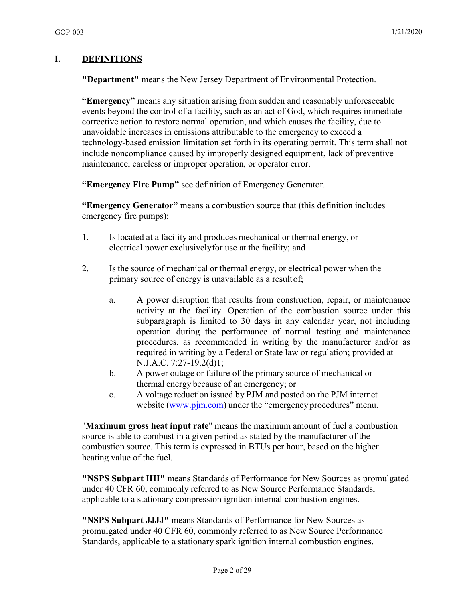#### **I. DEFINITIONS**

**"Department"** means the New Jersey Department of Environmental Protection.

**"Emergency"** means any situation arising from sudden and reasonably unforeseeable events beyond the control of a facility, such as an act of God, which requires immediate corrective action to restore normal operation, and which causes the facility, due to unavoidable increases in emissions attributable to the emergency to exceed a technology-based emission limitation set forth in its operating permit. This term shall not include noncompliance caused by improperly designed equipment, lack of preventive maintenance, careless or improper operation, or operator error.

**"Emergency Fire Pump"** see definition of Emergency Generator.

**"Emergency Generator"** means a combustion source that (this definition includes emergency fire pumps):

- 1. Is located at a facility and produces mechanical or thermal energy, or electrical power exclusivelyfor use at the facility; and
- 2. Is the source of mechanical or thermal energy, or electrical power when the primary source of energy is unavailable as a resultof;
	- a. A power disruption that results from construction, repair, or maintenance activity at the facility. Operation of the combustion source under this subparagraph is limited to 30 days in any calendar year, not including operation during the performance of normal testing and maintenance procedures, as recommended in writing by the manufacturer and/or as required in writing by a Federal or State law or regulation; provided at N.J.A.C. 7:27-19.2(d)1;
	- b. A power outage or failure of the primary source of mechanical or thermal energy because of an emergency; or
	- c. A voltage reduction issued by PJM and posted on the PJM internet website (www.pjm.com) under the "emergency procedures" menu.

"**Maximum gross heat input rate**" means the maximum amount of fuel a combustion source is able to combust in a given period as stated by the manufacturer of the combustion source. This term is expressed in BTUs per hour, based on the higher heating value of the fuel.

**"NSPS Subpart IIII"** means Standards of Performance for New Sources as promulgated under 40 CFR 60, commonly referred to as New Source Performance Standards, applicable to a stationary compression ignition internal combustion engines.

**"NSPS Subpart JJJJ"** means Standards of Performance for New Sources as promulgated under 40 CFR 60, commonly referred to as New Source Performance Standards, applicable to a stationary spark ignition internal combustion engines.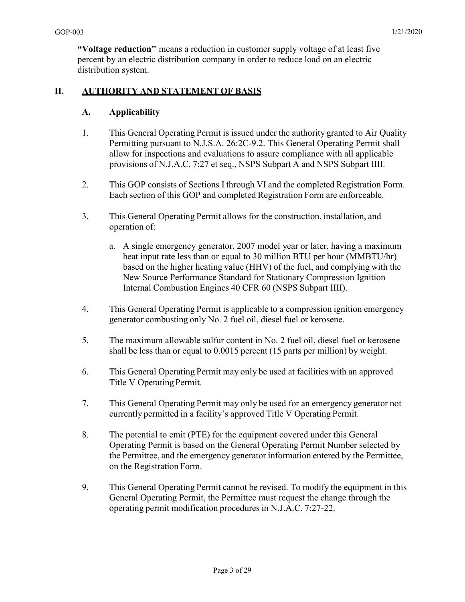**"Voltage reduction"** means a reduction in customer supply voltage of at least five percent by an electric distribution company in order to reduce load on an electric distribution system.

#### **II. AUTHORITY AND STATEMENT OF BASIS**

#### **A. Applicability**

- 1. This General Operating Permit is issued under the authority granted to Air Quality Permitting pursuant to N.J.S.A. 26:2C-9.2. This General Operating Permit shall allow for inspections and evaluations to assure compliance with all applicable provisions of N.J.A.C. 7:27 et seq., NSPS Subpart A and NSPS Subpart IIII.
- 2. This GOP consists of Sections I through VI and the completed Registration Form. Each section of this GOP and completed Registration Form are enforceable.
- 3. This General Operating Permit allows for the construction, installation, and operation of:
	- a. A single emergency generator, 2007 model year or later, having a maximum heat input rate less than or equal to 30 million BTU per hour (MMBTU/hr) based on the higher heating value (HHV) of the fuel, and complying with the New Source Performance Standard for Stationary Compression Ignition Internal Combustion Engines 40 CFR 60 (NSPS Subpart IIII).
- 4. This General Operating Permit is applicable to a compression ignition emergency generator combusting only No. 2 fuel oil, diesel fuel or kerosene.
- 5. The maximum allowable sulfur content in No. 2 fuel oil, diesel fuel or kerosene shall be less than or equal to 0.0015 percent (15 parts per million) by weight.
- 6. This General Operating Permit may only be used at facilities with an approved Title V Operating Permit.
- 7. This General Operating Permit may only be used for an emergency generator not currently permitted in a facility's approved Title V Operating Permit.
- 8. The potential to emit (PTE) for the equipment covered under this General Operating Permit is based on the General Operating Permit Number selected by the Permittee, and the emergency generator information entered by the Permittee, on the Registration Form.
- 9. This General Operating Permit cannot be revised. To modify the equipment in this General Operating Permit, the Permittee must request the change through the operating permit modification procedures in N.J.A.C. 7:27-22.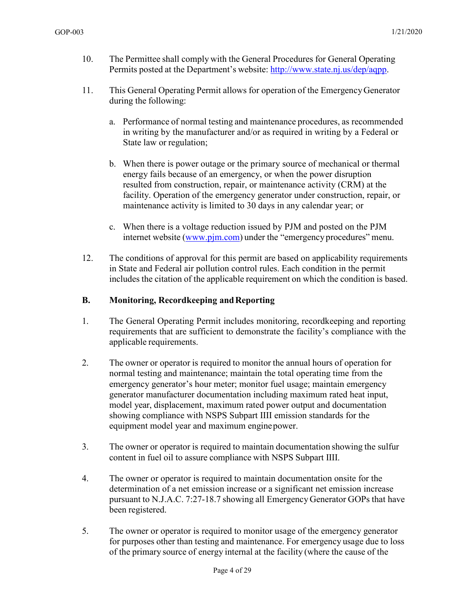- 10. The Permittee shall comply with the General Procedures for General Operating Permits posted at the Department's website: [http://www.state.nj.us/dep/aqpp.](http://www.state.nj.us/dep/aqpp)
- 11. This General Operating Permit allows for operation of the EmergencyGenerator during the following:
	- a. Performance of normal testing and maintenance procedures, as recommended in writing by the manufacturer and/or as required in writing by a Federal or State law or regulation;
	- b. When there is power outage or the primary source of mechanical or thermal energy fails because of an emergency, or when the power disruption resulted from construction, repair, or maintenance activity (CRM) at the facility. Operation of the emergency generator under construction, repair, or maintenance activity is limited to 30 days in any calendar year; or
	- c. When there is a voltage reduction issued by PJM and posted on the PJM internet website (www.pjm.com) under the "emergency procedures" menu.
- 12. The conditions of approval for this permit are based on applicability requirements in State and Federal air pollution control rules. Each condition in the permit includes the citation of the applicable requirement on which the condition is based.

#### **B. Monitoring, Recordkeeping and Reporting**

- 1. The General Operating Permit includes monitoring, recordkeeping and reporting requirements that are sufficient to demonstrate the facility's compliance with the applicable requirements.
- 2. The owner or operator is required to monitor the annual hours of operation for normal testing and maintenance; maintain the total operating time from the emergency generator's hour meter; monitor fuel usage; maintain emergency generator manufacturer documentation including maximum rated heat input, model year, displacement, maximum rated power output and documentation showing compliance with NSPS Subpart IIII emission standards for the equipment model year and maximum engine power.
- 3. The owner or operator is required to maintain documentation showing the sulfur content in fuel oil to assure compliance with NSPS Subpart IIII.
- 4. The owner or operator is required to maintain documentation onsite for the determination of a net emission increase or a significant net emission increase pursuant to N.J.A.C. 7:27-18.7 showing all Emergency Generator GOPs that have been registered.
- 5. The owner or operator is required to monitor usage of the emergency generator for purposes other than testing and maintenance. For emergency usage due to loss of the primary source of energy internal at the facility (where the cause of the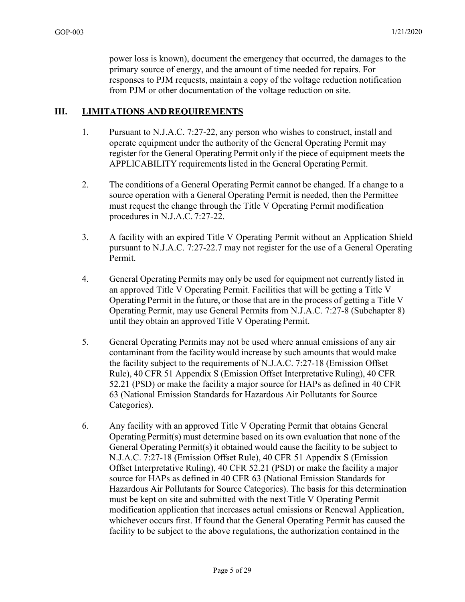power loss is known), document the emergency that occurred, the damages to the primary source of energy, and the amount of time needed for repairs. For responses to PJM requests, maintain a copy of the voltage reduction notification from PJM or other documentation of the voltage reduction on site.

#### **III. LIMITATIONS AND REQUIREMENTS**

- 1. Pursuant to N.J.A.C. 7:27-22, any person who wishes to construct, install and operate equipment under the authority of the General Operating Permit may register for the General Operating Permit only if the piece of equipment meets the APPLICABILITY requirements listed in the General Operating Permit.
- 2. The conditions of a General Operating Permit cannot be changed. If a change to a source operation with a General Operating Permit is needed, then the Permittee must request the change through the Title V Operating Permit modification procedures in N.J.A.C. 7:27-22.
- 3. A facility with an expired Title V Operating Permit without an Application Shield pursuant to N.J.A.C. 7:27-22.7 may not register for the use of a General Operating Permit.
- 4. General Operating Permits may only be used for equipment not currently listed in an approved Title V Operating Permit. Facilities that will be getting a Title V Operating Permit in the future, or those that are in the process of getting a Title V Operating Permit, may use General Permits from N.J.A.C. 7:27-8 (Subchapter 8) until they obtain an approved Title V Operating Permit.
- 5. General Operating Permits may not be used where annual emissions of any air contaminant from the facility would increase by such amounts that would make the facility subject to the requirements of N.J.A.C. 7:27-18 (Emission Offset Rule), 40 CFR 51 Appendix S (Emission Offset Interpretative Ruling), 40 CFR 52.21 (PSD) or make the facility a major source for HAPs as defined in 40 CFR 63 (National Emission Standards for Hazardous Air Pollutants for Source Categories).
- 6. Any facility with an approved Title V Operating Permit that obtains General Operating Permit(s) must determine based on its own evaluation that none of the General Operating Permit(s) it obtained would cause the facility to be subject to N.J.A.C. 7:27-18 (Emission Offset Rule), 40 CFR 51 Appendix S (Emission Offset Interpretative Ruling), 40 CFR 52.21 (PSD) or make the facility a major source for HAPs as defined in 40 CFR 63 (National Emission Standards for Hazardous Air Pollutants for Source Categories). The basis for this determination must be kept on site and submitted with the next Title V Operating Permit modification application that increases actual emissions or Renewal Application, whichever occurs first. If found that the General Operating Permit has caused the facility to be subject to the above regulations, the authorization contained in the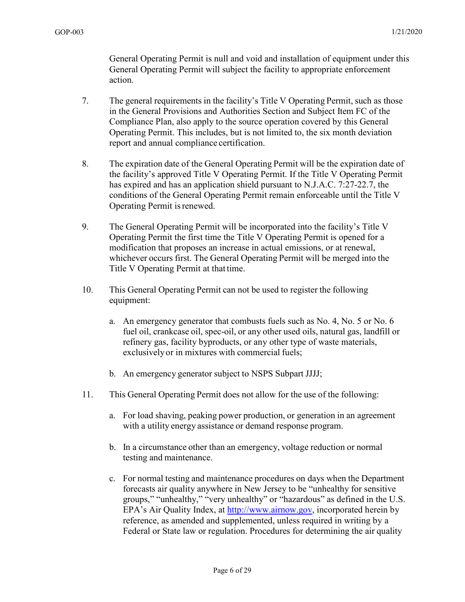General Operating Permit is null and void and installation of equipment under this General Operating Permit will subject the facility to appropriate enforcement action.

- 7. The general requirements in the facility's Title V Operating Permit, such as those in the General Provisions and Authorities Section and Subject Item FC of the Compliance Plan, also apply to the source operation covered by this General Operating Permit. This includes, but is not limited to, the six month deviation report and annual compliance certification.
- 8. The expiration date of the General Operating Permit will be the expiration date of the facility's approved Title V Operating Permit. If the Title V Operating Permit has expired and has an application shield pursuant to N.J.A.C. 7:27-22.7, the conditions of the General Operating Permit remain enforceable until the Title V Operating Permit isrenewed.
- 9. The General Operating Permit will be incorporated into the facility's Title V Operating Permit the first time the Title V Operating Permit is opened for a modification that proposes an increase in actual emissions, or at renewal, whichever occurs first. The General Operating Permit will be merged into the Title V Operating Permit at that time.
- 10. This General Operating Permit can not be used to register the following equipment:
	- a. An emergency generator that combusts fuels such as No. 4, No. 5 or No. 6 fuel oil, crankcase oil, spec-oil, or any other used oils, natural gas, landfill or refinery gas, facility byproducts, or any other type of waste materials, exclusivelyor in mixtures with commercial fuels;
	- b. An emergency generator subject to NSPS Subpart JJJJ;
- 11. This General Operating Permit does not allow for the use of the following:
	- a. For load shaving, peaking power production, or generation in an agreement with a utility energy assistance or demand response program.
	- b. In a circumstance other than an emergency, voltage reduction or normal testing and maintenance.
	- c. For normal testing and maintenance procedures on days when the Department forecasts air quality anywhere in New Jersey to be "unhealthy for sensitive groups," "unhealthy," "very unhealthy" or "hazardous" as defined in the U.S. EPA's Air Quality Index, at [http://www.airnow.gov, i](http://www.airnow.gov/)ncorporated herein by reference, as amended and supplemented, unless required in writing by a Federal or State law or regulation. Procedures for determining the air quality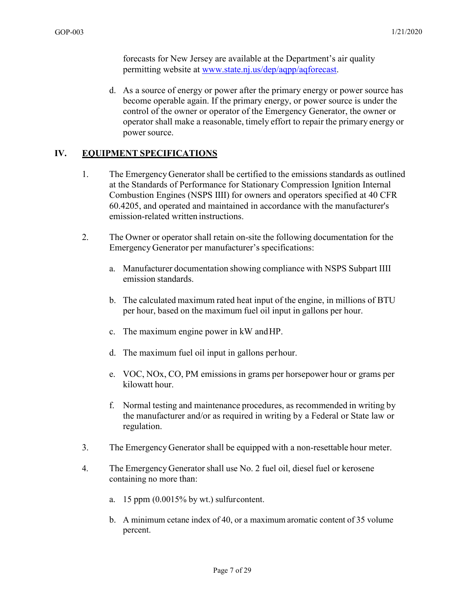forecasts for New Jersey are available at the Department's air quality permitting website at [www.state.nj.us/dep/aqpp/aqforecast.](http://www.state.nj.us/dep/aqpp/aqforecast)

d. As a source of energy or power after the primary energy or power source has become operable again. If the primary energy, or power source is under the control of the owner or operator of the Emergency Generator, the owner or operator shall make a reasonable, timely effort to repair the primary energy or power source.

#### **IV. EQUIPMENT SPECIFICATIONS**

- 1. The Emergency Generator shall be certified to the emissions standards as outlined at the Standards of Performance for Stationary Compression Ignition Internal Combustion Engines (NSPS IIII) for owners and operators specified at 40 CFR 60.4205, and operated and maintained in accordance with the manufacturer's emission-related written instructions.
- 2. The Owner or operator shall retain on-site the following documentation for the Emergency Generator per manufacturer's specifications:
	- a. Manufacturer documentation showing compliance with NSPS Subpart IIII emission standards.
	- b. The calculated maximum rated heat input of the engine, in millions of BTU per hour, based on the maximum fuel oil input in gallons per hour.
	- c. The maximum engine power in kW and HP.
	- d. The maximum fuel oil input in gallons per hour.
	- e. VOC, NOx, CO, PM emissions in grams per horsepower hour or grams per kilowatt hour.
	- f. Normal testing and maintenance procedures, as recommended in writing by the manufacturer and/or as required in writing by a Federal or State law or regulation.
- 3. The Emergency Generator shall be equipped with a non-resettable hour meter.
- 4. The Emergency Generator shall use No. 2 fuel oil, diesel fuel or kerosene containing no more than:
	- a. 15 ppm  $(0.0015\%$  by wt.) sulfur content.
	- b. A minimum cetane index of 40, or a maximum aromatic content of 35 volume percent.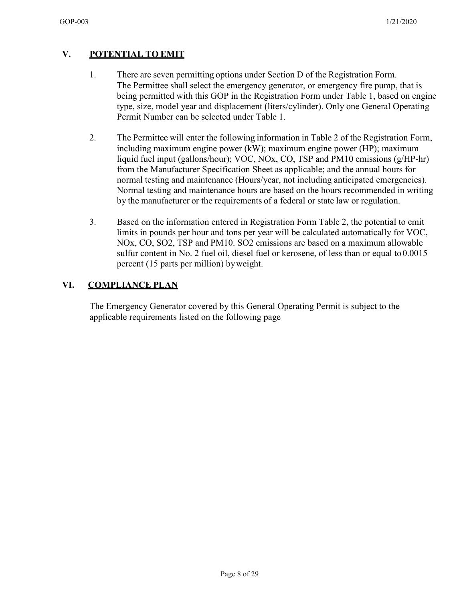## **V. POTENTIAL TO EMIT**

- 1. There are seven permitting options under Section D of the Registration Form. The Permittee shall select the emergency generator, or emergency fire pump, that is being permitted with this GOP in the Registration Form under Table 1, based on engine type, size, model year and displacement (liters/cylinder). Only one General Operating Permit Number can be selected under Table 1.
- 2. The Permittee will enter the following information in Table 2 of the Registration Form, including maximum engine power (kW); maximum engine power (HP); maximum liquid fuel input (gallons/hour); VOC, NOx, CO, TSP and PM10 emissions (g/HP-hr) from the Manufacturer Specification Sheet as applicable; and the annual hours for normal testing and maintenance (Hours/year, not including anticipated emergencies). Normal testing and maintenance hours are based on the hours recommended in writing by the manufacturer or the requirements of a federal or state law or regulation.
- 3. Based on the information entered in Registration Form Table 2, the potential to emit limits in pounds per hour and tons per year will be calculated automatically for VOC, NOx, CO, SO2, TSP and PM10. SO2 emissions are based on a maximum allowable sulfur content in No. 2 fuel oil, diesel fuel or kerosene, of less than or equal to 0.0015 percent (15 parts per million) byweight.

## **VI. COMPLIANCE PLAN**

The Emergency Generator covered by this General Operating Permit is subject to the applicable requirements listed on the following page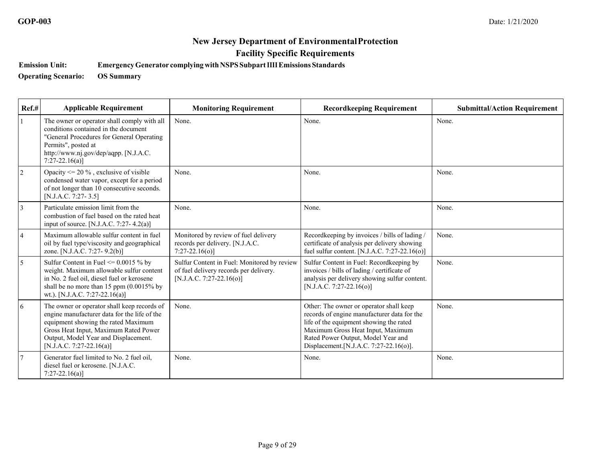**Emission Unit: EmergencyGenerator complyingwithNSPSSubpartIIIIEmissions Standards** 

**Operating Scenario: OS Summary** 

| Ref.#          | <b>Applicable Requirement</b>                                                                                                                                                                                                                   | <b>Monitoring Requirement</b>                                                                                     | <b>Recordkeeping Requirement</b>                                                                                                                                                                                                                        | <b>Submittal/Action Requirement</b> |
|----------------|-------------------------------------------------------------------------------------------------------------------------------------------------------------------------------------------------------------------------------------------------|-------------------------------------------------------------------------------------------------------------------|---------------------------------------------------------------------------------------------------------------------------------------------------------------------------------------------------------------------------------------------------------|-------------------------------------|
|                | The owner or operator shall comply with all<br>conditions contained in the document<br>"General Procedures for General Operating<br>Permits", posted at<br>http://www.nj.gov/dep/aqpp. [N.J.A.C.<br>$7:27-22.16(a)$ ]                           | None.                                                                                                             | None.                                                                                                                                                                                                                                                   | None.                               |
| $\sqrt{2}$     | Opacity $\leq$ 20 %, exclusive of visible<br>condensed water vapor, except for a period<br>of not longer than 10 consecutive seconds.<br>[N.J.A.C. 7:27-3.5]                                                                                    | None.                                                                                                             | None.                                                                                                                                                                                                                                                   | None.                               |
| $\overline{3}$ | Particulate emission limit from the<br>combustion of fuel based on the rated heat<br>input of source. [N.J.A.C. 7:27-4.2(a)]                                                                                                                    | None.                                                                                                             | None.                                                                                                                                                                                                                                                   | None.                               |
| 4              | Maximum allowable sulfur content in fuel<br>oil by fuel type/viscosity and geographical<br>zone. [N.J.A.C. 7:27- 9.2(b)]                                                                                                                        | Monitored by review of fuel delivery<br>records per delivery. [N.J.A.C.<br>$7:27-22.16(o)$ ]                      | Recordkeeping by invoices / bills of lading /<br>certificate of analysis per delivery showing<br>fuel sulfur content. [N.J.A.C. 7:27-22.16( $o$ )]                                                                                                      | None.                               |
| 5              | Sulfur Content in Fuel $\leq 0.0015$ % by<br>weight. Maximum allowable sulfur content<br>in No. 2 fuel oil, diesel fuel or kerosene<br>shall be no more than 15 ppm $(0.0015\%$ by<br>wt.). [N.J.A.C. 7:27-22.16(a)]                            | Sulfur Content in Fuel: Monitored by review<br>of fuel delivery records per delivery.<br>[N.J.A.C. 7:27-22.16(o)] | Sulfur Content in Fuel: Recordkeeping by<br>invoices / bills of lading / certificate of<br>analysis per delivery showing sulfur content.<br>[N.J.A.C. 7:27-22.16(o)]                                                                                    | None.                               |
| 6              | The owner or operator shall keep records of<br>engine manufacturer data for the life of the<br>equipment showing the rated Maximum<br>Gross Heat Input, Maximum Rated Power<br>Output, Model Year and Displacement.<br>[N.J.A.C. 7:27-22.16(a)] | None.                                                                                                             | Other: The owner or operator shall keep<br>records of engine manufacturer data for the<br>life of the equipment showing the rated<br>Maximum Gross Heat Input, Maximum<br>Rated Power Output, Model Year and<br>Displacement. [N.J.A.C. 7:27-22.16(o)]. | None.                               |
|                | Generator fuel limited to No. 2 fuel oil,<br>diesel fuel or kerosene. [N.J.A.C.<br>$7:27-22.16(a)$                                                                                                                                              | None.                                                                                                             | None.                                                                                                                                                                                                                                                   | None.                               |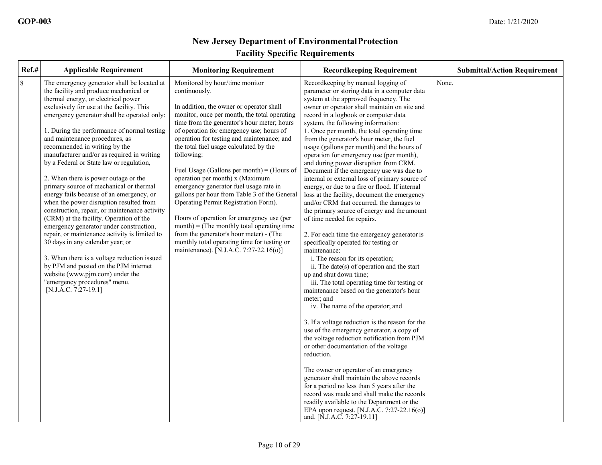| Ref.#   | <b>Applicable Requirement</b>                                                                                                                                                                                                                                                                                                                                                                                                                                                                                                                                                                                                                                                                                                                                                                                                                                                                                                                                                                                                 | <b>Monitoring Requirement</b>                                                                                                                                                                                                                                                                                                                                                                                                                                                                                                                                                                                                                                                                                                                                                                     | <b>Recordkeeping Requirement</b>                                                                                                                                                                                                                                                                                                                                                                                                                                                                                                                                                                                                                                                                                                                                                                                                                                                                                                                                                                                                                                                                                                                                                                                                                                                                                                                                                                                                                                                                                                                                                                                                                                                                          | <b>Submittal/Action Requirement</b> |
|---------|-------------------------------------------------------------------------------------------------------------------------------------------------------------------------------------------------------------------------------------------------------------------------------------------------------------------------------------------------------------------------------------------------------------------------------------------------------------------------------------------------------------------------------------------------------------------------------------------------------------------------------------------------------------------------------------------------------------------------------------------------------------------------------------------------------------------------------------------------------------------------------------------------------------------------------------------------------------------------------------------------------------------------------|---------------------------------------------------------------------------------------------------------------------------------------------------------------------------------------------------------------------------------------------------------------------------------------------------------------------------------------------------------------------------------------------------------------------------------------------------------------------------------------------------------------------------------------------------------------------------------------------------------------------------------------------------------------------------------------------------------------------------------------------------------------------------------------------------|-----------------------------------------------------------------------------------------------------------------------------------------------------------------------------------------------------------------------------------------------------------------------------------------------------------------------------------------------------------------------------------------------------------------------------------------------------------------------------------------------------------------------------------------------------------------------------------------------------------------------------------------------------------------------------------------------------------------------------------------------------------------------------------------------------------------------------------------------------------------------------------------------------------------------------------------------------------------------------------------------------------------------------------------------------------------------------------------------------------------------------------------------------------------------------------------------------------------------------------------------------------------------------------------------------------------------------------------------------------------------------------------------------------------------------------------------------------------------------------------------------------------------------------------------------------------------------------------------------------------------------------------------------------------------------------------------------------|-------------------------------------|
| $\,8\,$ | The emergency generator shall be located at<br>the facility and produce mechanical or<br>thermal energy, or electrical power<br>exclusively for use at the facility. This<br>emergency generator shall be operated only:<br>1. During the performance of normal testing<br>and maintenance procedures, as<br>recommended in writing by the<br>manufacturer and/or as required in writing<br>by a Federal or State law or regulation,<br>2. When there is power outage or the<br>primary source of mechanical or thermal<br>energy fails because of an emergency, or<br>when the power disruption resulted from<br>construction, repair, or maintenance activity<br>(CRM) at the facility. Operation of the<br>emergency generator under construction,<br>repair, or maintenance activity is limited to<br>30 days in any calendar year; or<br>3. When there is a voltage reduction issued<br>by PJM and posted on the PJM internet<br>website (www.pjm.com) under the<br>"emergency procedures" menu.<br>[N.J.A.C. 7:27-19.1] | Monitored by hour/time monitor<br>continuously.<br>In addition, the owner or operator shall<br>monitor, once per month, the total operating<br>time from the generator's hour meter; hours<br>of operation for emergency use; hours of<br>operation for testing and maintenance; and<br>the total fuel usage calculated by the<br>following:<br>Fuel Usage (Gallons per month) = (Hours of<br>operation per month) x (Maximum<br>emergency generator fuel usage rate in<br>gallons per hour from Table 3 of the General<br>Operating Permit Registration Form).<br>Hours of operation for emergency use (per<br>$month$ ) = (The monthly total operating time<br>from the generator's hour meter) - (The<br>monthly total operating time for testing or<br>maintenance). [N.J.A.C. 7:27-22.16(o)] | Recordkeeping by manual logging of<br>parameter or storing data in a computer data<br>system at the approved frequency. The<br>owner or operator shall maintain on site and<br>record in a logbook or computer data<br>system, the following information:<br>1. Once per month, the total operating time<br>from the generator's hour meter, the fuel<br>usage (gallons per month) and the hours of<br>operation for emergency use (per month),<br>and during power disruption from CRM.<br>Document if the emergency use was due to<br>internal or external loss of primary source of<br>energy, or due to a fire or flood. If internal<br>loss at the facility, document the emergency<br>and/or CRM that occurred, the damages to<br>the primary source of energy and the amount<br>of time needed for repairs.<br>2. For each time the emergency generator is<br>specifically operated for testing or<br>maintenance:<br>i. The reason for its operation;<br>ii. The date(s) of operation and the start<br>up and shut down time;<br>iii. The total operating time for testing or<br>maintenance based on the generator's hour<br>meter; and<br>iv. The name of the operator; and<br>3. If a voltage reduction is the reason for the<br>use of the emergency generator, a copy of<br>the voltage reduction notification from PJM<br>or other documentation of the voltage<br>reduction.<br>The owner or operator of an emergency<br>generator shall maintain the above records<br>for a period no less than 5 years after the<br>record was made and shall make the records<br>readily available to the Department or the<br>EPA upon request. [N.J.A.C. 7:27-22.16(o)]<br>and. [N.J.A.C. 7:27-19.11] | None.                               |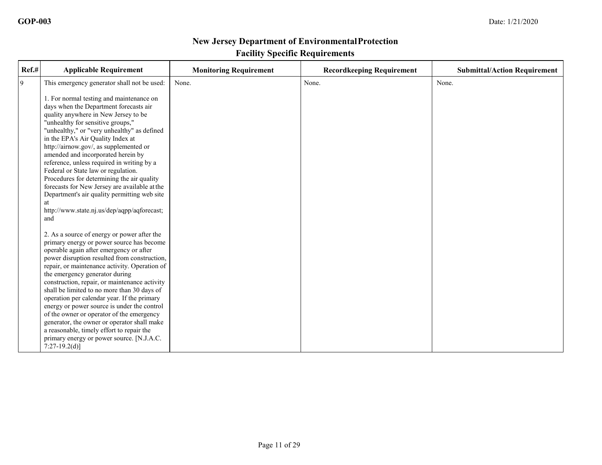| Ref.# | <b>Applicable Requirement</b>                                                                                                                                                                                                                                                                                                                                                                                                                                                                                                                                                                                                                                                  | <b>Monitoring Requirement</b> | <b>Recordkeeping Requirement</b> | <b>Submittal/Action Requirement</b> |
|-------|--------------------------------------------------------------------------------------------------------------------------------------------------------------------------------------------------------------------------------------------------------------------------------------------------------------------------------------------------------------------------------------------------------------------------------------------------------------------------------------------------------------------------------------------------------------------------------------------------------------------------------------------------------------------------------|-------------------------------|----------------------------------|-------------------------------------|
| 9     | This emergency generator shall not be used:                                                                                                                                                                                                                                                                                                                                                                                                                                                                                                                                                                                                                                    | None.                         | None.                            | None.                               |
|       | 1. For normal testing and maintenance on<br>days when the Department forecasts air<br>quality anywhere in New Jersey to be<br>"unhealthy for sensitive groups,"<br>"unhealthy," or "very unhealthy" as defined<br>in the EPA's Air Quality Index at<br>http://airnow.gov/, as supplemented or<br>amended and incorporated herein by<br>reference, unless required in writing by a<br>Federal or State law or regulation.<br>Procedures for determining the air quality<br>forecasts for New Jersey are available at the<br>Department's air quality permitting web site<br>at<br>http://www.state.nj.us/dep/aqpp/aqforecast;<br>and                                            |                               |                                  |                                     |
|       | 2. As a source of energy or power after the<br>primary energy or power source has become<br>operable again after emergency or after<br>power disruption resulted from construction,<br>repair, or maintenance activity. Operation of<br>the emergency generator during<br>construction, repair, or maintenance activity<br>shall be limited to no more than 30 days of<br>operation per calendar year. If the primary<br>energy or power source is under the control<br>of the owner or operator of the emergency<br>generator, the owner or operator shall make<br>a reasonable, timely effort to repair the<br>primary energy or power source. [N.J.A.C.<br>$7:27-19.2(d)$ ] |                               |                                  |                                     |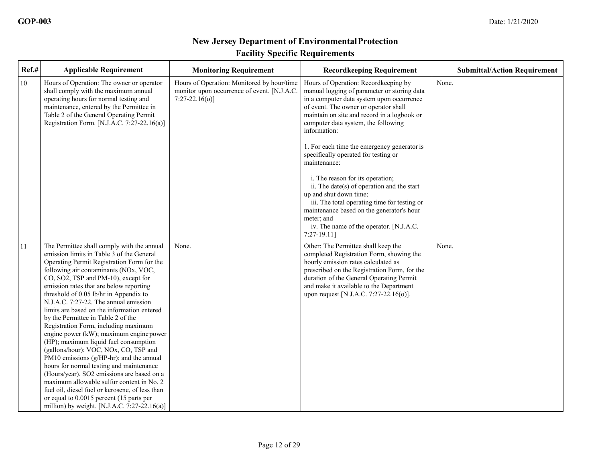| Ref.#  | <b>Applicable Requirement</b>                                                                                                                                                                                                                                                                                                                                                                                                                                                                                                                                                                                                                                                                                                                                                                                                                                                                                                                      | <b>Monitoring Requirement</b>                                                                                  | <b>Recordkeeping Requirement</b>                                                                                                                                                                                                                                                                                                                                                                                                                                                                                                                                                                                                                                           | <b>Submittal/Action Requirement</b> |
|--------|----------------------------------------------------------------------------------------------------------------------------------------------------------------------------------------------------------------------------------------------------------------------------------------------------------------------------------------------------------------------------------------------------------------------------------------------------------------------------------------------------------------------------------------------------------------------------------------------------------------------------------------------------------------------------------------------------------------------------------------------------------------------------------------------------------------------------------------------------------------------------------------------------------------------------------------------------|----------------------------------------------------------------------------------------------------------------|----------------------------------------------------------------------------------------------------------------------------------------------------------------------------------------------------------------------------------------------------------------------------------------------------------------------------------------------------------------------------------------------------------------------------------------------------------------------------------------------------------------------------------------------------------------------------------------------------------------------------------------------------------------------------|-------------------------------------|
| $10\,$ | Hours of Operation: The owner or operator<br>shall comply with the maximum annual<br>operating hours for normal testing and<br>maintenance, entered by the Permittee in<br>Table 2 of the General Operating Permit<br>Registration Form. [N.J.A.C. 7:27-22.16(a)]                                                                                                                                                                                                                                                                                                                                                                                                                                                                                                                                                                                                                                                                                  | Hours of Operation: Monitored by hour/time<br>monitor upon occurrence of event. [N.J.A.C.<br>$7:27-22.16(o)$ ] | Hours of Operation: Recordkeeping by<br>manual logging of parameter or storing data<br>in a computer data system upon occurrence<br>of event. The owner or operator shall<br>maintain on site and record in a logbook or<br>computer data system, the following<br>information:<br>1. For each time the emergency generator is<br>specifically operated for testing or<br>maintenance:<br>i. The reason for its operation;<br>ii. The date(s) of operation and the start<br>up and shut down time;<br>iii. The total operating time for testing or<br>maintenance based on the generator's hour<br>meter; and<br>iv. The name of the operator. [N.J.A.C.<br>$7:27-19.11$ ] | None.                               |
| 11     | The Permittee shall comply with the annual<br>emission limits in Table 3 of the General<br>Operating Permit Registration Form for the<br>following air contaminants (NOx, VOC,<br>CO, SO2, TSP and PM-10), except for<br>emission rates that are below reporting<br>threshold of 0.05 lb/hr in Appendix to<br>N.J.A.C. 7:27-22. The annual emission<br>limits are based on the information entered<br>by the Permittee in Table 2 of the<br>Registration Form, including maximum<br>engine power (kW); maximum engine power<br>(HP); maximum liquid fuel consumption<br>(gallons/hour); VOC, NOx, CO, TSP and<br>PM10 emissions (g/HP-hr); and the annual<br>hours for normal testing and maintenance<br>(Hours/year). SO2 emissions are based on a<br>maximum allowable sulfur content in No. 2<br>fuel oil, diesel fuel or kerosene, of less than<br>or equal to 0.0015 percent (15 parts per<br>million) by weight. [N.J.A.C. $7:27-22.16(a)$ ] | None.                                                                                                          | Other: The Permittee shall keep the<br>completed Registration Form, showing the<br>hourly emission rates calculated as<br>prescribed on the Registration Form, for the<br>duration of the General Operating Permit<br>and make it available to the Department<br>upon request.[N.J.A.C. 7:27-22.16(o)].                                                                                                                                                                                                                                                                                                                                                                    | None.                               |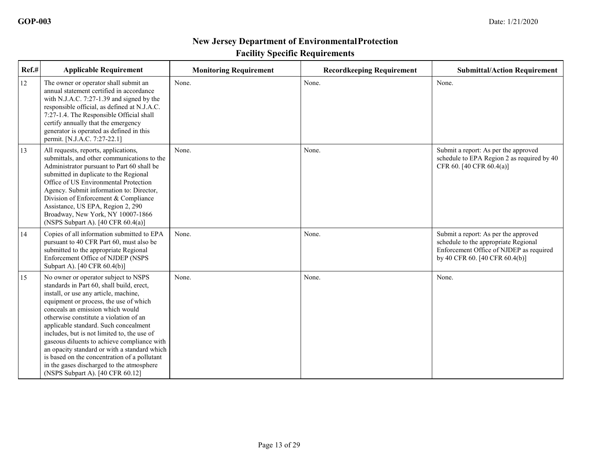| Ref.# | <b>Applicable Requirement</b>                                                                                                                                                                                                                                                                                                                                                                                                                                                                                                                                              | <b>Monitoring Requirement</b> | <b>Recordkeeping Requirement</b> | <b>Submittal/Action Requirement</b>                                                                                                                       |
|-------|----------------------------------------------------------------------------------------------------------------------------------------------------------------------------------------------------------------------------------------------------------------------------------------------------------------------------------------------------------------------------------------------------------------------------------------------------------------------------------------------------------------------------------------------------------------------------|-------------------------------|----------------------------------|-----------------------------------------------------------------------------------------------------------------------------------------------------------|
| 12    | The owner or operator shall submit an<br>annual statement certified in accordance<br>with N.J.A.C. $7:27-1.39$ and signed by the<br>responsible official, as defined at N.J.A.C.<br>7:27-1.4. The Responsible Official shall<br>certify annually that the emergency<br>generator is operated as defined in this<br>permit. [N.J.A.C. 7:27-22.1]                                                                                                                                                                                                                            | None.                         | None.                            | None.                                                                                                                                                     |
| 13    | All requests, reports, applications,<br>submittals, and other communications to the<br>Administrator pursuant to Part 60 shall be<br>submitted in duplicate to the Regional<br>Office of US Environmental Protection<br>Agency. Submit information to: Director,<br>Division of Enforcement & Compliance<br>Assistance, US EPA, Region 2, 290<br>Broadway, New York, NY 10007-1866<br>(NSPS Subpart A). $[40 \text{ CFR } 60.4(a)]$                                                                                                                                        | None.                         | None.                            | Submit a report: As per the approved<br>schedule to EPA Region 2 as required by 40<br>CFR 60. [40 CFR 60.4(a)]                                            |
| 14    | Copies of all information submitted to EPA<br>pursuant to 40 CFR Part 60, must also be<br>submitted to the appropriate Regional<br>Enforcement Office of NJDEP (NSPS<br>Subpart A). [40 CFR 60.4(b)]                                                                                                                                                                                                                                                                                                                                                                       | None.                         | None.                            | Submit a report: As per the approved<br>schedule to the appropriate Regional<br>Enforcement Office of NJDEP as required<br>by 40 CFR 60. [40 CFR 60.4(b)] |
| 15    | No owner or operator subject to NSPS<br>standards in Part 60, shall build, erect,<br>install, or use any article, machine,<br>equipment or process, the use of which<br>conceals an emission which would<br>otherwise constitute a violation of an<br>applicable standard. Such concealment<br>includes, but is not limited to, the use of<br>gaseous diluents to achieve compliance with<br>an opacity standard or with a standard which<br>is based on the concentration of a pollutant<br>in the gases discharged to the atmosphere<br>(NSPS Subpart A). [40 CFR 60.12] | None.                         | None.                            | None.                                                                                                                                                     |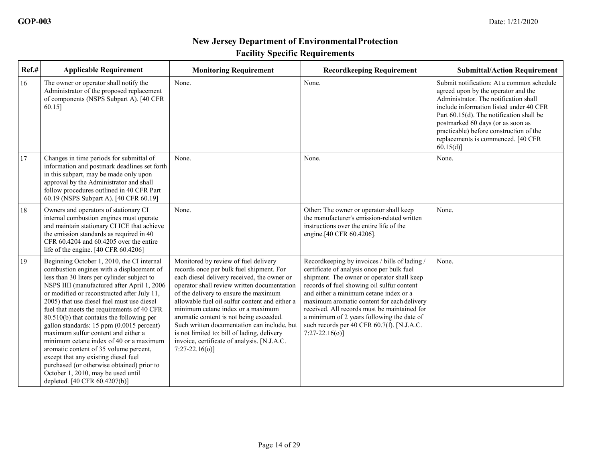| Ref.# | <b>Applicable Requirement</b>                                                                                                                                                                                                                                                                                                                                                                                                                                                                                                                                                                                                                                                                                       | <b>Monitoring Requirement</b>                                                                                                                                                                                                                                                                                                                                                                                                                                                                                               | <b>Recordkeeping Requirement</b>                                                                                                                                                                                                                                                                                                                                                                                                                 | <b>Submittal/Action Requirement</b>                                                                                                                                                                                                                                                                                                                |
|-------|---------------------------------------------------------------------------------------------------------------------------------------------------------------------------------------------------------------------------------------------------------------------------------------------------------------------------------------------------------------------------------------------------------------------------------------------------------------------------------------------------------------------------------------------------------------------------------------------------------------------------------------------------------------------------------------------------------------------|-----------------------------------------------------------------------------------------------------------------------------------------------------------------------------------------------------------------------------------------------------------------------------------------------------------------------------------------------------------------------------------------------------------------------------------------------------------------------------------------------------------------------------|--------------------------------------------------------------------------------------------------------------------------------------------------------------------------------------------------------------------------------------------------------------------------------------------------------------------------------------------------------------------------------------------------------------------------------------------------|----------------------------------------------------------------------------------------------------------------------------------------------------------------------------------------------------------------------------------------------------------------------------------------------------------------------------------------------------|
| 16    | The owner or operator shall notify the<br>Administrator of the proposed replacement<br>of components (NSPS Subpart A). [40 CFR<br>$60.15$ ]                                                                                                                                                                                                                                                                                                                                                                                                                                                                                                                                                                         | None.                                                                                                                                                                                                                                                                                                                                                                                                                                                                                                                       | None.                                                                                                                                                                                                                                                                                                                                                                                                                                            | Submit notification: At a common schedule<br>agreed upon by the operator and the<br>Administrator. The notification shall<br>include information listed under 40 CFR<br>Part 60.15(d). The notification shall be<br>postmarked 60 days (or as soon as<br>practicable) before construction of the<br>replacements is commenced. [40 CFR<br>60.15(d) |
| 17    | Changes in time periods for submittal of<br>information and postmark deadlines set forth<br>in this subpart, may be made only upon<br>approval by the Administrator and shall<br>follow procedures outlined in 40 CFR Part<br>60.19 (NSPS Subpart A). [40 CFR 60.19]                                                                                                                                                                                                                                                                                                                                                                                                                                                | None.                                                                                                                                                                                                                                                                                                                                                                                                                                                                                                                       | None.                                                                                                                                                                                                                                                                                                                                                                                                                                            | None.                                                                                                                                                                                                                                                                                                                                              |
| 18    | Owners and operators of stationary CI<br>internal combustion engines must operate<br>and maintain stationary CI ICE that achieve<br>the emission standards as required in 40<br>CFR 60.4204 and 60.4205 over the entire<br>life of the engine. [40 CFR 60.4206]                                                                                                                                                                                                                                                                                                                                                                                                                                                     | None.                                                                                                                                                                                                                                                                                                                                                                                                                                                                                                                       | Other: The owner or operator shall keep<br>the manufacturer's emission-related written<br>instructions over the entire life of the<br>engine.[40 CFR 60.4206].                                                                                                                                                                                                                                                                                   | None.                                                                                                                                                                                                                                                                                                                                              |
| 19    | Beginning October 1, 2010, the CI internal<br>combustion engines with a displacement of<br>less than 30 liters per cylinder subject to<br>NSPS IIII (manufactured after April 1, 2006<br>or modified or reconstructed after July 11,<br>2005) that use diesel fuel must use diesel<br>fuel that meets the requirements of 40 CFR<br>80.510(b) that contains the following per<br>gallon standards: 15 ppm (0.0015 percent)<br>maximum sulfur content and either a<br>minimum cetane index of 40 or a maximum<br>aromatic content of 35 volume percent,<br>except that any existing diesel fuel<br>purchased (or otherwise obtained) prior to<br>October 1, 2010, may be used until<br>depleted. [40 CFR 60.4207(b)] | Monitored by review of fuel delivery<br>records once per bulk fuel shipment. For<br>each diesel delivery received, the owner or<br>operator shall review written documentation<br>of the delivery to ensure the maximum<br>allowable fuel oil sulfur content and either a<br>minimum cetane index or a maximum<br>aromatic content is not being exceeded.<br>Such written documentation can include, but<br>is not limited to: bill of lading, delivery<br>invoice, certificate of analysis. [N.J.A.C.<br>$7:27-22.16(o)$ ] | Recordkeeping by invoices / bills of lading /<br>certificate of analysis once per bulk fuel<br>shipment. The owner or operator shall keep<br>records of fuel showing oil sulfur content<br>and either a minimum cetane index or a<br>maximum aromatic content for each delivery<br>received. All records must be maintained for<br>a minimum of 2 years following the date of<br>such records per 40 CFR 60.7(f). [N.J.A.C.<br>$7:27-22.16(o)$ ] | None.                                                                                                                                                                                                                                                                                                                                              |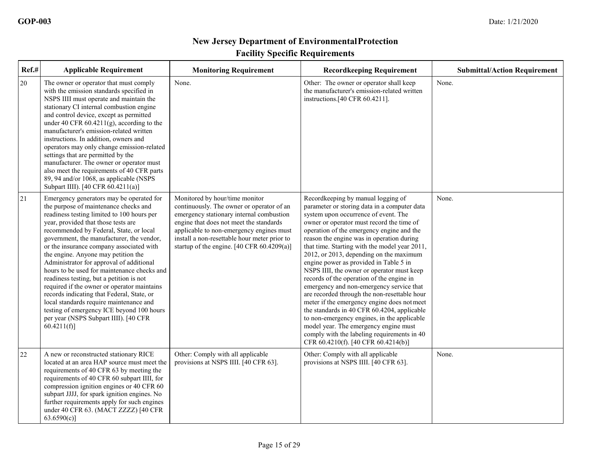| Ref.#  | <b>Applicable Requirement</b>                                                                                                                                                                                                                                                                                                                                                                                                                                                                                                                                                                                                                                                                                                        | <b>Monitoring Requirement</b>                                                                                                                                                                                                                                                                                           | <b>Recordkeeping Requirement</b>                                                                                                                                                                                                                                                                                                                                                                                                                                                                                                                                                                                                                                                                                                                                                                                                                                           | <b>Submittal/Action Requirement</b> |
|--------|--------------------------------------------------------------------------------------------------------------------------------------------------------------------------------------------------------------------------------------------------------------------------------------------------------------------------------------------------------------------------------------------------------------------------------------------------------------------------------------------------------------------------------------------------------------------------------------------------------------------------------------------------------------------------------------------------------------------------------------|-------------------------------------------------------------------------------------------------------------------------------------------------------------------------------------------------------------------------------------------------------------------------------------------------------------------------|----------------------------------------------------------------------------------------------------------------------------------------------------------------------------------------------------------------------------------------------------------------------------------------------------------------------------------------------------------------------------------------------------------------------------------------------------------------------------------------------------------------------------------------------------------------------------------------------------------------------------------------------------------------------------------------------------------------------------------------------------------------------------------------------------------------------------------------------------------------------------|-------------------------------------|
| $20\,$ | The owner or operator that must comply<br>with the emission standards specified in<br>NSPS IIII must operate and maintain the<br>stationary CI internal combustion engine<br>and control device, except as permitted<br>under 40 CFR $60.4211(g)$ , according to the<br>manufacturer's emission-related written<br>instructions. In addition, owners and<br>operators may only change emission-related<br>settings that are permitted by the<br>manufacturer. The owner or operator must<br>also meet the requirements of 40 CFR parts<br>89, 94 and/or 1068, as applicable (NSPS<br>Subpart IIII). [40 CFR 60.4211(a)]                                                                                                              | None.                                                                                                                                                                                                                                                                                                                   | Other: The owner or operator shall keep<br>the manufacturer's emission-related written<br>instructions.[40 CFR 60.4211].                                                                                                                                                                                                                                                                                                                                                                                                                                                                                                                                                                                                                                                                                                                                                   | None.                               |
| 21     | Emergency generators may be operated for<br>the purpose of maintenance checks and<br>readiness testing limited to 100 hours per<br>year, provided that those tests are<br>recommended by Federal, State, or local<br>government, the manufacturer, the vendor,<br>or the insurance company associated with<br>the engine. Anyone may petition the<br>Administrator for approval of additional<br>hours to be used for maintenance checks and<br>readiness testing, but a petition is not<br>required if the owner or operator maintains<br>records indicating that Federal, State, or<br>local standards require maintenance and<br>testing of emergency ICE beyond 100 hours<br>per year (NSPS Subpart IIII). [40 CFR<br>60.4211(f) | Monitored by hour/time monitor<br>continuously. The owner or operator of an<br>emergency stationary internal combustion<br>engine that does not meet the standards<br>applicable to non-emergency engines must<br>install a non-resettable hour meter prior to<br>startup of the engine. $[40 \text{ CFR } 60.4209(a)]$ | Recordkeeping by manual logging of<br>parameter or storing data in a computer data<br>system upon occurrence of event. The<br>owner or operator must record the time of<br>operation of the emergency engine and the<br>reason the engine was in operation during<br>that time. Starting with the model year 2011,<br>2012, or 2013, depending on the maximum<br>engine power as provided in Table 5 in<br>NSPS IIII, the owner or operator must keep<br>records of the operation of the engine in<br>emergency and non-emergency service that<br>are recorded through the non-resettable hour<br>meter if the emergency engine does not meet<br>the standards in 40 CFR 60.4204, applicable<br>to non-emergency engines, in the applicable<br>model year. The emergency engine must<br>comply with the labeling requirements in 40<br>CFR 60.4210(f). [40 CFR 60.4214(b)] | None.                               |
| 22     | A new or reconstructed stationary RICE<br>located at an area HAP source must meet the<br>requirements of 40 CFR 63 by meeting the<br>requirements of 40 CFR 60 subpart IIII, for<br>compression ignition engines or 40 CFR 60<br>subpart JJJJ, for spark ignition engines. No<br>further requirements apply for such engines<br>under 40 CFR 63. (MACT ZZZZ) [40 CFR<br>63.6590(c)                                                                                                                                                                                                                                                                                                                                                   | Other: Comply with all applicable<br>provisions at NSPS IIII. [40 CFR 63].                                                                                                                                                                                                                                              | Other: Comply with all applicable<br>provisions at NSPS IIII. [40 CFR 63].                                                                                                                                                                                                                                                                                                                                                                                                                                                                                                                                                                                                                                                                                                                                                                                                 | None.                               |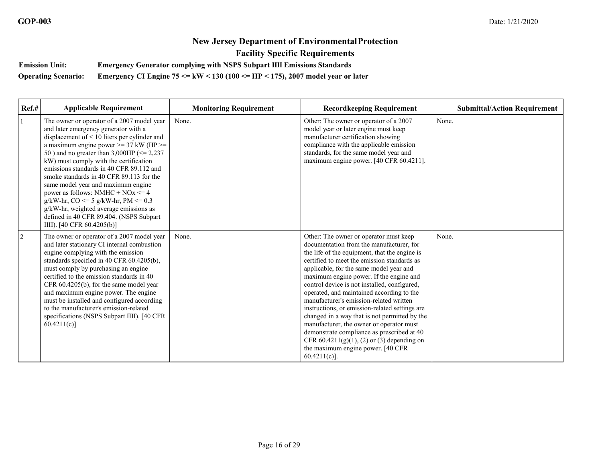**Emission Unit: Emergency Generator complying with NSPS Subpart IIII Emissions Standards** 

**Operating Scenario: Emergency CI Engine 75 <= kW < 130 (100 <= HP < 175), 2007 model year or later** 

| Ref.#          | <b>Applicable Requirement</b>                                                                                                                                                                                                                                                                                                                                                                                                                                                                                                                                                                                      | <b>Monitoring Requirement</b> | <b>Recordkeeping Requirement</b>                                                                                                                                                                                                                                                                                                                                                                                                                                                                                                                                                                                                                                                                                       | <b>Submittal/Action Requirement</b> |
|----------------|--------------------------------------------------------------------------------------------------------------------------------------------------------------------------------------------------------------------------------------------------------------------------------------------------------------------------------------------------------------------------------------------------------------------------------------------------------------------------------------------------------------------------------------------------------------------------------------------------------------------|-------------------------------|------------------------------------------------------------------------------------------------------------------------------------------------------------------------------------------------------------------------------------------------------------------------------------------------------------------------------------------------------------------------------------------------------------------------------------------------------------------------------------------------------------------------------------------------------------------------------------------------------------------------------------------------------------------------------------------------------------------------|-------------------------------------|
| $\mathbf{1}$   | The owner or operator of a 2007 model year<br>and later emergency generator with a<br>displacement of < 10 liters per cylinder and<br>a maximum engine power $>= 37$ kW (HP $>=$<br>50) and no greater than 3,000HP ( $\leq$ 2,237<br>kW) must comply with the certification<br>emissions standards in 40 CFR 89.112 and<br>smoke standards in 40 CFR 89.113 for the<br>same model year and maximum engine<br>power as follows: NMHC + $NOx \le 4$<br>$g/kW-hr$ , CO <= 5 $g/kW-hr$ , PM <= 0.3<br>g/kW-hr, weighted average emissions as<br>defined in 40 CFR 89.404. (NSPS Subpart<br>IIII). [40 CFR 60.4205(b)] | None.                         | Other: The owner or operator of a 2007<br>model year or later engine must keep<br>manufacturer certification showing<br>compliance with the applicable emission<br>standards, for the same model year and<br>maximum engine power. [40 CFR 60.4211].                                                                                                                                                                                                                                                                                                                                                                                                                                                                   | None.                               |
| $\overline{2}$ | The owner or operator of a 2007 model year<br>and later stationary CI internal combustion<br>engine complying with the emission<br>standards specified in 40 CFR 60.4205(b),<br>must comply by purchasing an engine<br>certified to the emission standards in 40<br>CFR 60.4205(b), for the same model year<br>and maximum engine power. The engine<br>must be installed and configured according<br>to the manufacturer's emission-related<br>specifications (NSPS Subpart IIII). [40 CFR<br>60.4211(c)                                                                                                           | None.                         | Other: The owner or operator must keep<br>documentation from the manufacturer, for<br>the life of the equipment, that the engine is<br>certified to meet the emission standards as<br>applicable, for the same model year and<br>maximum engine power. If the engine and<br>control device is not installed, configured,<br>operated, and maintained according to the<br>manufacturer's emission-related written<br>instructions, or emission-related settings are<br>changed in a way that is not permitted by the<br>manufacturer, the owner or operator must<br>demonstrate compliance as prescribed at 40<br>CFR $60.4211(g)(1)$ , (2) or (3) depending on<br>the maximum engine power. [40 CFR<br>$60.4211(c)$ ]. | None.                               |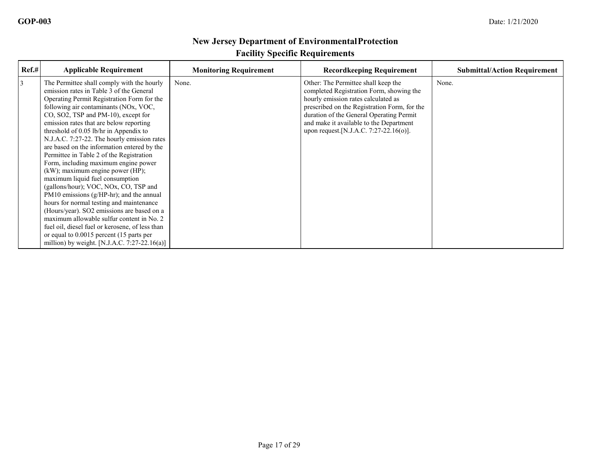| Ref.# | <b>Applicable Requirement</b>                                                                                                                                                                                                                                                                                                                                                                                                                                                                                                                                                                                                                                                                                                                                                                                                                                                                                                                      | <b>Monitoring Requirement</b> | <b>Recordkeeping Requirement</b>                                                                                                                                                                                                                                                                        | <b>Submittal/Action Requirement</b> |
|-------|----------------------------------------------------------------------------------------------------------------------------------------------------------------------------------------------------------------------------------------------------------------------------------------------------------------------------------------------------------------------------------------------------------------------------------------------------------------------------------------------------------------------------------------------------------------------------------------------------------------------------------------------------------------------------------------------------------------------------------------------------------------------------------------------------------------------------------------------------------------------------------------------------------------------------------------------------|-------------------------------|---------------------------------------------------------------------------------------------------------------------------------------------------------------------------------------------------------------------------------------------------------------------------------------------------------|-------------------------------------|
| 3     | The Permittee shall comply with the hourly<br>emission rates in Table 3 of the General<br>Operating Permit Registration Form for the<br>following air contaminants (NOx, VOC,<br>CO, SO2, TSP and PM-10), except for<br>emission rates that are below reporting<br>threshold of $0.05$ lb/hr in Appendix to<br>N.J.A.C. 7:27-22. The hourly emission rates<br>are based on the information entered by the<br>Permittee in Table 2 of the Registration<br>Form, including maximum engine power<br>(kW); maximum engine power (HP);<br>maximum liquid fuel consumption<br>(gallons/hour); VOC, NOx, CO, TSP and<br>PM10 emissions $(g/HP-hr)$ ; and the annual<br>hours for normal testing and maintenance<br>(Hours/year). SO2 emissions are based on a<br>maximum allowable sulfur content in No. 2<br>fuel oil, diesel fuel or kerosene, of less than<br>or equal to 0.0015 percent (15 parts per<br>million) by weight. [N.J.A.C. 7:27-22.16(a)] | None.                         | Other: The Permittee shall keep the<br>completed Registration Form, showing the<br>hourly emission rates calculated as<br>prescribed on the Registration Form, for the<br>duration of the General Operating Permit<br>and make it available to the Department<br>upon request.[N.J.A.C. 7:27-22.16(o)]. | None.                               |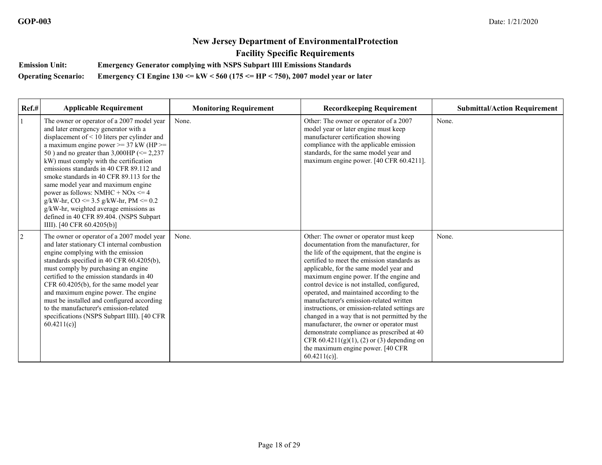**Emission Unit: Emergency Generator complying with NSPS Subpart IIII Emissions Standards** 

**Operating Scenario: Emergency CI Engine 130 <= kW < 560 (175 <= HP < 750), 2007 model year or later** 

| $Ref.$ #       | <b>Applicable Requirement</b>                                                                                                                                                                                                                                                                                                                                                                                                                                                                                                                                                                                            | <b>Monitoring Requirement</b> | <b>Recordkeeping Requirement</b>                                                                                                                                                                                                                                                                                                                                                                                                                                                                                                                                                                                                                                                                                       | <b>Submittal/Action Requirement</b> |
|----------------|--------------------------------------------------------------------------------------------------------------------------------------------------------------------------------------------------------------------------------------------------------------------------------------------------------------------------------------------------------------------------------------------------------------------------------------------------------------------------------------------------------------------------------------------------------------------------------------------------------------------------|-------------------------------|------------------------------------------------------------------------------------------------------------------------------------------------------------------------------------------------------------------------------------------------------------------------------------------------------------------------------------------------------------------------------------------------------------------------------------------------------------------------------------------------------------------------------------------------------------------------------------------------------------------------------------------------------------------------------------------------------------------------|-------------------------------------|
|                | The owner or operator of a 2007 model year<br>and later emergency generator with a<br>displacement of < 10 liters per cylinder and<br>a maximum engine power $\geq$ 37 kW (HP $\geq$<br>50) and no greater than 3,000HP ( $\leq$ 2,237<br>kW) must comply with the certification<br>emissions standards in 40 CFR 89.112 and<br>smoke standards in 40 CFR 89.113 for the<br>same model year and maximum engine<br>power as follows: NMHC + $NOx \le 4$<br>$g/kW-hr$ , CO <= 3.5 $g/kW-hr$ , PM <= 0.2<br>g/kW-hr, weighted average emissions as<br>defined in 40 CFR 89.404. (NSPS Subpart<br>IIII). [40 CFR 60.4205(b)] | None.                         | Other: The owner or operator of a 2007<br>model year or later engine must keep<br>manufacturer certification showing<br>compliance with the applicable emission<br>standards, for the same model year and<br>maximum engine power. [40 CFR 60.4211].                                                                                                                                                                                                                                                                                                                                                                                                                                                                   | None.                               |
| $\overline{2}$ | The owner or operator of a 2007 model year<br>and later stationary CI internal combustion<br>engine complying with the emission<br>standards specified in 40 CFR 60.4205(b),<br>must comply by purchasing an engine<br>certified to the emission standards in 40<br>CFR 60.4205(b), for the same model year<br>and maximum engine power. The engine<br>must be installed and configured according<br>to the manufacturer's emission-related<br>specifications (NSPS Subpart IIII). [40 CFR<br>60.4211(c)                                                                                                                 | None.                         | Other: The owner or operator must keep<br>documentation from the manufacturer, for<br>the life of the equipment, that the engine is<br>certified to meet the emission standards as<br>applicable, for the same model year and<br>maximum engine power. If the engine and<br>control device is not installed, configured,<br>operated, and maintained according to the<br>manufacturer's emission-related written<br>instructions, or emission-related settings are<br>changed in a way that is not permitted by the<br>manufacturer, the owner or operator must<br>demonstrate compliance as prescribed at 40<br>CFR $60.4211(g)(1)$ , (2) or (3) depending on<br>the maximum engine power. [40 CFR<br>$60.4211(c)$ ]. | None.                               |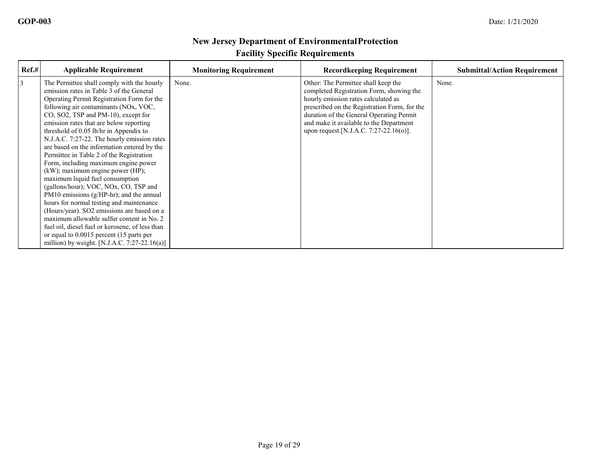| Ref.# | <b>Applicable Requirement</b>                                                                                                                                                                                                                                                                                                                                                                                                                                                                                                                                                                                                                                                                                                                                                                                                                                                                                                                      | <b>Monitoring Requirement</b> | <b>Recordkeeping Requirement</b>                                                                                                                                                                                                                                                                        | <b>Submittal/Action Requirement</b> |
|-------|----------------------------------------------------------------------------------------------------------------------------------------------------------------------------------------------------------------------------------------------------------------------------------------------------------------------------------------------------------------------------------------------------------------------------------------------------------------------------------------------------------------------------------------------------------------------------------------------------------------------------------------------------------------------------------------------------------------------------------------------------------------------------------------------------------------------------------------------------------------------------------------------------------------------------------------------------|-------------------------------|---------------------------------------------------------------------------------------------------------------------------------------------------------------------------------------------------------------------------------------------------------------------------------------------------------|-------------------------------------|
| 3     | The Permittee shall comply with the hourly<br>emission rates in Table 3 of the General<br>Operating Permit Registration Form for the<br>following air contaminants (NOx, VOC,<br>CO, SO2, TSP and PM-10), except for<br>emission rates that are below reporting<br>threshold of $0.05$ lb/hr in Appendix to<br>N.J.A.C. 7:27-22. The hourly emission rates<br>are based on the information entered by the<br>Permittee in Table 2 of the Registration<br>Form, including maximum engine power<br>(kW); maximum engine power (HP);<br>maximum liquid fuel consumption<br>(gallons/hour); VOC, NOx, CO, TSP and<br>PM10 emissions $(g/HP-hr)$ ; and the annual<br>hours for normal testing and maintenance<br>(Hours/year). SO2 emissions are based on a<br>maximum allowable sulfur content in No. 2<br>fuel oil, diesel fuel or kerosene, of less than<br>or equal to 0.0015 percent (15 parts per<br>million) by weight. [N.J.A.C. 7:27-22.16(a)] | None.                         | Other: The Permittee shall keep the<br>completed Registration Form, showing the<br>hourly emission rates calculated as<br>prescribed on the Registration Form, for the<br>duration of the General Operating Permit<br>and make it available to the Department<br>upon request.[N.J.A.C. 7:27-22.16(o)]. | None.                               |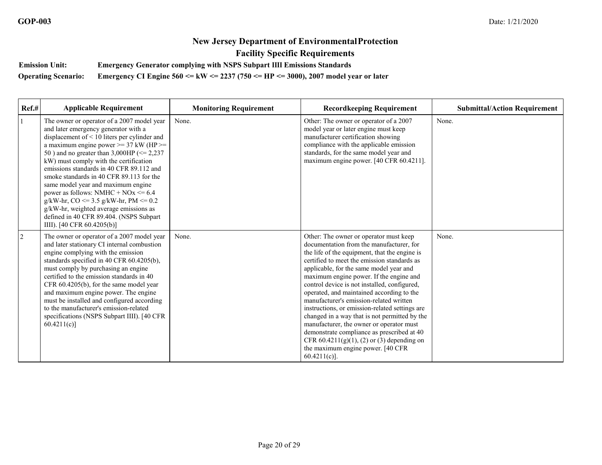**Emission Unit: Emergency Generator complying with NSPS Subpart IIII Emissions Standards** 

**Operating Scenario: Emergency CI Engine 560 <= kW <= 2237 (750 <= HP <= 3000), 2007 model year or later** 

| Ref.#          | <b>Applicable Requirement</b>                                                                                                                                                                                                                                                                                                                                                                                                                                                                                                                                                                                               | <b>Monitoring Requirement</b> | <b>Recordkeeping Requirement</b>                                                                                                                                                                                                                                                                                                                                                                                                                                                                                                                                                                                                                                                                                       | <b>Submittal/Action Requirement</b> |
|----------------|-----------------------------------------------------------------------------------------------------------------------------------------------------------------------------------------------------------------------------------------------------------------------------------------------------------------------------------------------------------------------------------------------------------------------------------------------------------------------------------------------------------------------------------------------------------------------------------------------------------------------------|-------------------------------|------------------------------------------------------------------------------------------------------------------------------------------------------------------------------------------------------------------------------------------------------------------------------------------------------------------------------------------------------------------------------------------------------------------------------------------------------------------------------------------------------------------------------------------------------------------------------------------------------------------------------------------------------------------------------------------------------------------------|-------------------------------------|
| 1              | The owner or operator of a 2007 model year<br>and later emergency generator with a<br>displacement of < 10 liters per cylinder and<br>a maximum engine power $\geq$ 37 kW (HP $\geq$<br>50 ) and no greater than 3,000HP ( $\leq$ 2,237<br>kW) must comply with the certification<br>emissions standards in 40 CFR 89.112 and<br>smoke standards in 40 CFR 89.113 for the<br>same model year and maximum engine<br>power as follows: NMHC + $NOx \le 6.4$<br>$g/kW-hr$ , CO <= 3.5 $g/kW-hr$ , PM <= 0.2<br>g/kW-hr, weighted average emissions as<br>defined in 40 CFR 89.404. (NSPS Subpart<br>IIII). [40 CFR 60.4205(b)] | None.                         | Other: The owner or operator of a 2007<br>model year or later engine must keep<br>manufacturer certification showing<br>compliance with the applicable emission<br>standards, for the same model year and<br>maximum engine power. [40 CFR 60.4211].                                                                                                                                                                                                                                                                                                                                                                                                                                                                   | None.                               |
| $\overline{2}$ | The owner or operator of a 2007 model year<br>and later stationary CI internal combustion<br>engine complying with the emission<br>standards specified in 40 CFR 60.4205(b),<br>must comply by purchasing an engine<br>certified to the emission standards in 40<br>CFR 60.4205(b), for the same model year<br>and maximum engine power. The engine<br>must be installed and configured according<br>to the manufacturer's emission-related<br>specifications (NSPS Subpart IIII). [40 CFR<br>60.4211(c)                                                                                                                    | None.                         | Other: The owner or operator must keep<br>documentation from the manufacturer, for<br>the life of the equipment, that the engine is<br>certified to meet the emission standards as<br>applicable, for the same model year and<br>maximum engine power. If the engine and<br>control device is not installed, configured,<br>operated, and maintained according to the<br>manufacturer's emission-related written<br>instructions, or emission-related settings are<br>changed in a way that is not permitted by the<br>manufacturer, the owner or operator must<br>demonstrate compliance as prescribed at 40<br>CFR $60.4211(g)(1)$ , (2) or (3) depending on<br>the maximum engine power. [40 CFR<br>$60.4211(c)$ ]. | None.                               |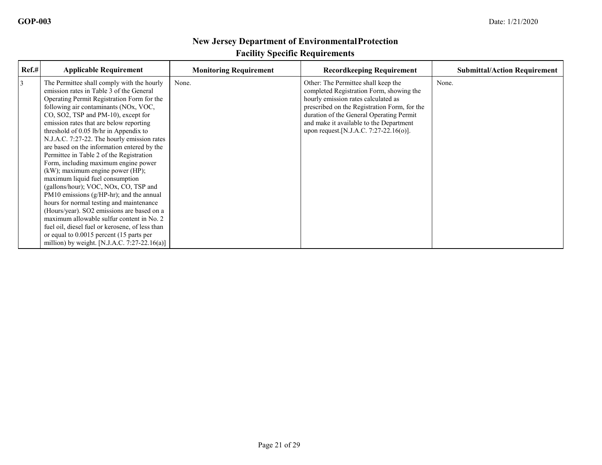| Ref.# | <b>Applicable Requirement</b>                                                                                                                                                                                                                                                                                                                                                                                                                                                                                                                                                                                                                                                                                                                                                                                                                                                                                                                    | <b>Monitoring Requirement</b> | <b>Recordkeeping Requirement</b>                                                                                                                                                                                                                                                                         | <b>Submittal/Action Requirement</b> |
|-------|--------------------------------------------------------------------------------------------------------------------------------------------------------------------------------------------------------------------------------------------------------------------------------------------------------------------------------------------------------------------------------------------------------------------------------------------------------------------------------------------------------------------------------------------------------------------------------------------------------------------------------------------------------------------------------------------------------------------------------------------------------------------------------------------------------------------------------------------------------------------------------------------------------------------------------------------------|-------------------------------|----------------------------------------------------------------------------------------------------------------------------------------------------------------------------------------------------------------------------------------------------------------------------------------------------------|-------------------------------------|
| 3     | The Permittee shall comply with the hourly<br>emission rates in Table 3 of the General<br>Operating Permit Registration Form for the<br>following air contaminants (NOx, VOC,<br>CO, SO2, TSP and PM-10), except for<br>emission rates that are below reporting<br>threshold of 0.05 lb/hr in Appendix to<br>N.J.A.C. 7:27-22. The hourly emission rates<br>are based on the information entered by the<br>Permittee in Table 2 of the Registration<br>Form, including maximum engine power<br>(kW); maximum engine power (HP);<br>maximum liquid fuel consumption<br>(gallons/hour); VOC, NOx, CO, TSP and<br>PM10 emissions $(g/HP-hr)$ ; and the annual<br>hours for normal testing and maintenance<br>(Hours/year). SO2 emissions are based on a<br>maximum allowable sulfur content in No. 2<br>fuel oil, diesel fuel or kerosene, of less than<br>or equal to 0.0015 percent (15 parts per<br>million) by weight. [N.J.A.C. 7:27-22.16(a)] | None.                         | Other: The Permittee shall keep the<br>completed Registration Form, showing the<br>hourly emission rates calculated as<br>prescribed on the Registration Form, for the<br>duration of the General Operating Permit<br>and make it available to the Department<br>upon request. [N.J.A.C. 7:27-22.16(o)]. | None.                               |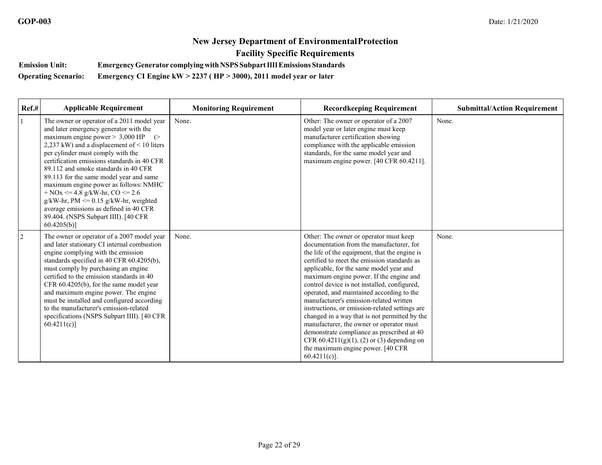**Emission Unit: EmergencyGenerator complyingwithNSPSSubpartIIIIEmissions Standards** 

**Operating Scenario: Emergency CI Engine kW > 2237 ( HP > 3000), 2011 model year or later** 

| Ref.#          | <b>Applicable Requirement</b>                                                                                                                                                                                                                                                                                                                                                                                                                                                                                                                                                          | <b>Monitoring Requirement</b> | <b>Recordkeeping Requirement</b>                                                                                                                                                                                                                                                                                                                                                                                                                                                                                                                                                                                                                                                                                        | <b>Submittal/Action Requirement</b> |
|----------------|----------------------------------------------------------------------------------------------------------------------------------------------------------------------------------------------------------------------------------------------------------------------------------------------------------------------------------------------------------------------------------------------------------------------------------------------------------------------------------------------------------------------------------------------------------------------------------------|-------------------------------|-------------------------------------------------------------------------------------------------------------------------------------------------------------------------------------------------------------------------------------------------------------------------------------------------------------------------------------------------------------------------------------------------------------------------------------------------------------------------------------------------------------------------------------------------------------------------------------------------------------------------------------------------------------------------------------------------------------------------|-------------------------------------|
| $\mathbf{1}$   | The owner or operator of a 2011 model year<br>and later emergency generator with the<br>maximum engine power $> 3,000$ HP $($<br>2,237 kW) and a displacement of $<$ 10 liters<br>per cylinder must comply with the<br>certification emissions standards in 40 CFR<br>89.112 and smoke standards in 40 CFR<br>89.113 for the same model year and same<br>maximum engine power as follows: NMHC<br>+ NOx <= 4.8 g/kW-hr, CO <= $2.6$<br>$g/kW-hr$ , PM <= 0.15 $g/kW-hr$ , weighted<br>average emissions as defined in 40 CFR<br>89.404. (NSPS Subpart IIII). [40 CFR<br>$60.4205(b)$ ] | None.                         | Other: The owner or operator of a 2007<br>model year or later engine must keep<br>manufacturer certification showing<br>compliance with the applicable emission<br>standards, for the same model year and<br>maximum engine power. [40 CFR 60.4211].                                                                                                                                                                                                                                                                                                                                                                                                                                                                    | None.                               |
| $\overline{2}$ | The owner or operator of a 2007 model year<br>and later stationary CI internal combustion<br>engine complying with the emission<br>standards specified in 40 CFR 60.4205(b),<br>must comply by purchasing an engine<br>certified to the emission standards in 40<br>CFR 60.4205(b), for the same model year<br>and maximum engine power. The engine<br>must be installed and configured according<br>to the manufacturer's emission-related<br>specifications (NSPS Subpart IIII). [40 CFR<br>60.4211(c)                                                                               | None.                         | Other: The owner or operator must keep<br>documentation from the manufacturer, for<br>the life of the equipment, that the engine is<br>certified to meet the emission standards as<br>applicable, for the same model year and<br>maximum engine power. If the engine and<br>control device is not installed, configured,<br>operated, and maintained according to the<br>manufacturer's emission-related written<br>instructions, or emission-related settings are<br>changed in a way that is not permitted by the<br>manufacturer, the owner or operator must<br>demonstrate compliance as prescribed at 40<br>CFR $60.4211(g)(1)$ , (2) or (3) depending on<br>the maximum engine power. [40 CFR]<br>$60.4211(c)$ ]. | None.                               |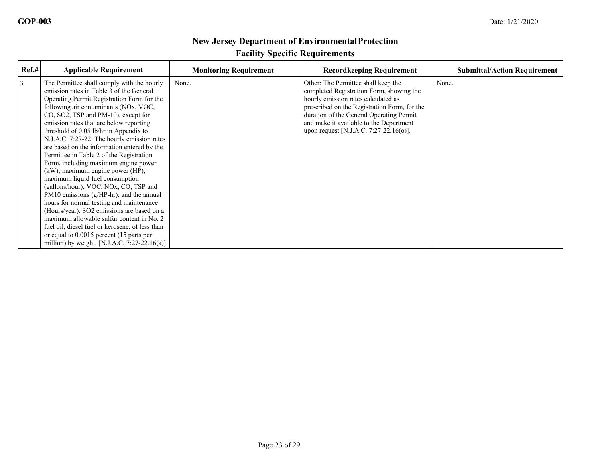| Ref.# | <b>Applicable Requirement</b>                                                                                                                                                                                                                                                                                                                                                                                                                                                                                                                                                                                                                                                                                                                                                                                                                                                                                                                    | <b>Monitoring Requirement</b> | <b>Recordkeeping Requirement</b>                                                                                                                                                                                                                                                                        | <b>Submittal/Action Requirement</b> |
|-------|--------------------------------------------------------------------------------------------------------------------------------------------------------------------------------------------------------------------------------------------------------------------------------------------------------------------------------------------------------------------------------------------------------------------------------------------------------------------------------------------------------------------------------------------------------------------------------------------------------------------------------------------------------------------------------------------------------------------------------------------------------------------------------------------------------------------------------------------------------------------------------------------------------------------------------------------------|-------------------------------|---------------------------------------------------------------------------------------------------------------------------------------------------------------------------------------------------------------------------------------------------------------------------------------------------------|-------------------------------------|
| 3     | The Permittee shall comply with the hourly<br>emission rates in Table 3 of the General<br>Operating Permit Registration Form for the<br>following air contaminants (NOx, VOC,<br>CO, SO2, TSP and PM-10), except for<br>emission rates that are below reporting<br>threshold of 0.05 lb/hr in Appendix to<br>N.J.A.C. 7:27-22. The hourly emission rates<br>are based on the information entered by the<br>Permittee in Table 2 of the Registration<br>Form, including maximum engine power<br>(kW); maximum engine power (HP);<br>maximum liquid fuel consumption<br>(gallons/hour); VOC, NOx, CO, TSP and<br>PM10 emissions $(g/HP-hr)$ ; and the annual<br>hours for normal testing and maintenance<br>(Hours/year). SO2 emissions are based on a<br>maximum allowable sulfur content in No. 2<br>fuel oil, diesel fuel or kerosene, of less than<br>or equal to 0.0015 percent (15 parts per<br>million) by weight. [N.J.A.C. 7:27-22.16(a)] | None.                         | Other: The Permittee shall keep the<br>completed Registration Form, showing the<br>hourly emission rates calculated as<br>prescribed on the Registration Form, for the<br>duration of the General Operating Permit<br>and make it available to the Department<br>upon request.[N.J.A.C. 7:27-22.16(o)]. | None.                               |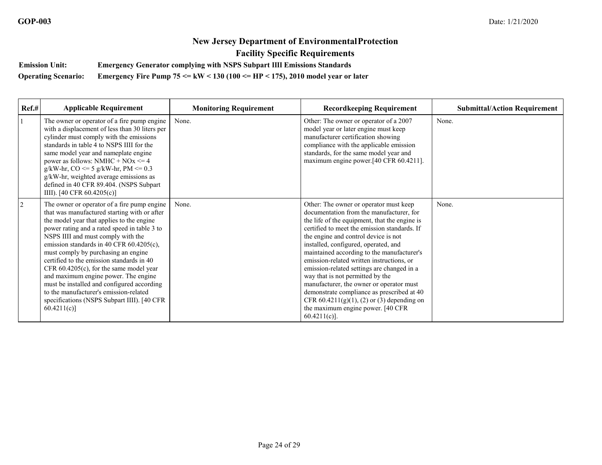**Emission Unit: Emergency Generator complying with NSPS Subpart IIII Emissions Standards** 

**Operating Scenario: Emergency Fire Pump 75 <= kW < 130 (100 <= HP < 175), 2010 model year or later**

| Ref.#          | <b>Applicable Requirement</b>                                                                                                                                                                                                                                                                                                                                                                                                                                                                                                                                                                             | <b>Monitoring Requirement</b> | <b>Recordkeeping Requirement</b>                                                                                                                                                                                                                                                                                                                                                                                                                                                                                                                                                                                                                    | <b>Submittal/Action Requirement</b> |
|----------------|-----------------------------------------------------------------------------------------------------------------------------------------------------------------------------------------------------------------------------------------------------------------------------------------------------------------------------------------------------------------------------------------------------------------------------------------------------------------------------------------------------------------------------------------------------------------------------------------------------------|-------------------------------|-----------------------------------------------------------------------------------------------------------------------------------------------------------------------------------------------------------------------------------------------------------------------------------------------------------------------------------------------------------------------------------------------------------------------------------------------------------------------------------------------------------------------------------------------------------------------------------------------------------------------------------------------------|-------------------------------------|
|                | The owner or operator of a fire pump engine<br>with a displacement of less than 30 liters per<br>cylinder must comply with the emissions<br>standards in table 4 to NSPS IIII for the<br>same model year and nameplate engine<br>power as follows: NMHC + $NOx \le 4$<br>$g/kW-hr$ , CO <= 5 $g/kW-hr$ , PM <= 0.3<br>g/kW-hr, weighted average emissions as<br>defined in 40 CFR 89.404. (NSPS Subpart<br>IIII). [40 CFR $60.4205(c)$ ]                                                                                                                                                                  | None.                         | Other: The owner or operator of a 2007<br>model year or later engine must keep<br>manufacturer certification showing<br>compliance with the applicable emission<br>standards, for the same model year and<br>maximum engine power.[40 CFR 60.4211].                                                                                                                                                                                                                                                                                                                                                                                                 | None.                               |
| $\overline{2}$ | The owner or operator of a fire pump engine<br>that was manufactured starting with or after<br>the model year that applies to the engine<br>power rating and a rated speed in table 3 to<br>NSPS IIII and must comply with the<br>emission standards in 40 CFR 60.4205(c),<br>must comply by purchasing an engine<br>certified to the emission standards in 40<br>CFR $60.4205(c)$ , for the same model year<br>and maximum engine power. The engine<br>must be installed and configured according<br>to the manufacturer's emission-related<br>specifications (NSPS Subpart IIII). [40 CFR<br>60.4211(c) | None.                         | Other: The owner or operator must keep<br>documentation from the manufacturer, for<br>the life of the equipment, that the engine is<br>certified to meet the emission standards. If<br>the engine and control device is not<br>installed, configured, operated, and<br>maintained according to the manufacturer's<br>emission-related written instructions, or<br>emission-related settings are changed in a<br>way that is not permitted by the<br>manufacturer, the owner or operator must<br>demonstrate compliance as prescribed at 40<br>CFR $60.4211(g)(1)$ , (2) or (3) depending on<br>the maximum engine power. [40 CFR<br>$60.4211(c)$ ]. | None.                               |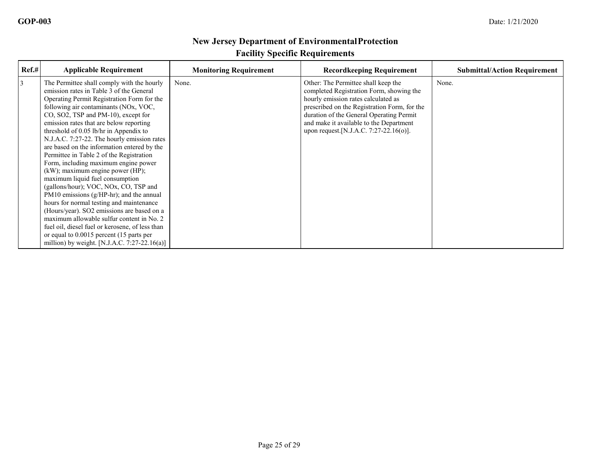| Ref.# | <b>Applicable Requirement</b>                                                                                                                                                                                                                                                                                                                                                                                                                                                                                                                                                                                                                                                                                                                                                                                                                                                                                                                    | <b>Monitoring Requirement</b> | <b>Recordkeeping Requirement</b>                                                                                                                                                                                                                                                                         | <b>Submittal/Action Requirement</b> |
|-------|--------------------------------------------------------------------------------------------------------------------------------------------------------------------------------------------------------------------------------------------------------------------------------------------------------------------------------------------------------------------------------------------------------------------------------------------------------------------------------------------------------------------------------------------------------------------------------------------------------------------------------------------------------------------------------------------------------------------------------------------------------------------------------------------------------------------------------------------------------------------------------------------------------------------------------------------------|-------------------------------|----------------------------------------------------------------------------------------------------------------------------------------------------------------------------------------------------------------------------------------------------------------------------------------------------------|-------------------------------------|
| 3     | The Permittee shall comply with the hourly<br>emission rates in Table 3 of the General<br>Operating Permit Registration Form for the<br>following air contaminants (NOx, VOC,<br>CO, SO2, TSP and PM-10), except for<br>emission rates that are below reporting<br>threshold of 0.05 lb/hr in Appendix to<br>N.J.A.C. 7:27-22. The hourly emission rates<br>are based on the information entered by the<br>Permittee in Table 2 of the Registration<br>Form, including maximum engine power<br>(kW); maximum engine power (HP);<br>maximum liquid fuel consumption<br>(gallons/hour); VOC, NOx, CO, TSP and<br>PM10 emissions $(g/HP-hr)$ ; and the annual<br>hours for normal testing and maintenance<br>(Hours/year). SO2 emissions are based on a<br>maximum allowable sulfur content in No. 2<br>fuel oil, diesel fuel or kerosene, of less than<br>or equal to 0.0015 percent (15 parts per<br>million) by weight. [N.J.A.C. 7:27-22.16(a)] | None.                         | Other: The Permittee shall keep the<br>completed Registration Form, showing the<br>hourly emission rates calculated as<br>prescribed on the Registration Form, for the<br>duration of the General Operating Permit<br>and make it available to the Department<br>upon request. [N.J.A.C. 7:27-22.16(o)]. | None.                               |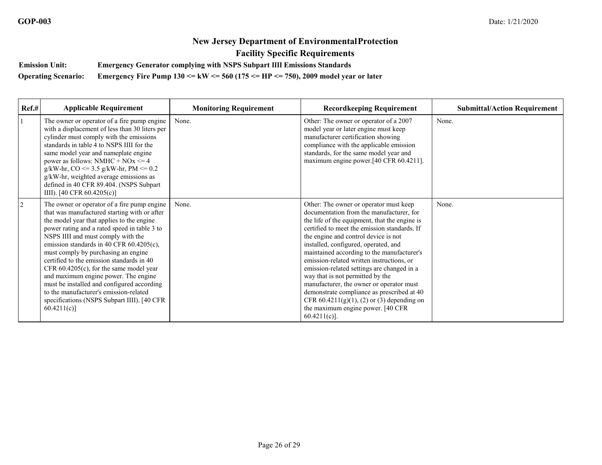**Emission Unit: Emergency Generator complying with NSPS Subpart IIII Emissions Standards** 

**Operating Scenario: Emergency Fire Pump 130 <= kW <= 560 (175 <= HP <= 750), 2009 model year or later** 

| Ref.#      | <b>Applicable Requirement</b>                                                                                                                                                                                                                                                                                                                                                                                                                                                                                                                                                                             | <b>Monitoring Requirement</b> | <b>Recordkeeping Requirement</b>                                                                                                                                                                                                                                                                                                                                                                                                                                                                                                                                                                                                                    | <b>Submittal/Action Requirement</b> |
|------------|-----------------------------------------------------------------------------------------------------------------------------------------------------------------------------------------------------------------------------------------------------------------------------------------------------------------------------------------------------------------------------------------------------------------------------------------------------------------------------------------------------------------------------------------------------------------------------------------------------------|-------------------------------|-----------------------------------------------------------------------------------------------------------------------------------------------------------------------------------------------------------------------------------------------------------------------------------------------------------------------------------------------------------------------------------------------------------------------------------------------------------------------------------------------------------------------------------------------------------------------------------------------------------------------------------------------------|-------------------------------------|
| 1          | The owner or operator of a fire pump engine<br>with a displacement of less than 30 liters per<br>cylinder must comply with the emissions<br>standards in table 4 to NSPS IIII for the<br>same model year and nameplate engine<br>power as follows: NMHC + $NOx \le 4$<br>$g/kW-hr$ , CO <= 3.5 $g/kW-hr$ , PM <= 0.2<br>g/kW-hr, weighted average emissions as<br>defined in 40 CFR 89.404. (NSPS Subpart<br>IIII). [40 CFR $60.4205(c)$ ]                                                                                                                                                                | None.                         | Other: The owner or operator of a 2007<br>model year or later engine must keep<br>manufacturer certification showing<br>compliance with the applicable emission<br>standards, for the same model year and<br>maximum engine power.[40 CFR 60.4211].                                                                                                                                                                                                                                                                                                                                                                                                 | None.                               |
| $\sqrt{2}$ | The owner or operator of a fire pump engine<br>that was manufactured starting with or after<br>the model year that applies to the engine<br>power rating and a rated speed in table 3 to<br>NSPS IIII and must comply with the<br>emission standards in 40 CFR 60.4205(c),<br>must comply by purchasing an engine<br>certified to the emission standards in 40<br>CFR $60.4205(c)$ , for the same model year<br>and maximum engine power. The engine<br>must be installed and configured according<br>to the manufacturer's emission-related<br>specifications (NSPS Subpart IIII). [40 CFR<br>60.4211(c) | None.                         | Other: The owner or operator must keep<br>documentation from the manufacturer, for<br>the life of the equipment, that the engine is<br>certified to meet the emission standards. If<br>the engine and control device is not<br>installed, configured, operated, and<br>maintained according to the manufacturer's<br>emission-related written instructions, or<br>emission-related settings are changed in a<br>way that is not permitted by the<br>manufacturer, the owner or operator must<br>demonstrate compliance as prescribed at 40<br>CFR $60.4211(g)(1)$ , (2) or (3) depending on<br>the maximum engine power. [40 CFR<br>$60.4211(c)$ ]. | None.                               |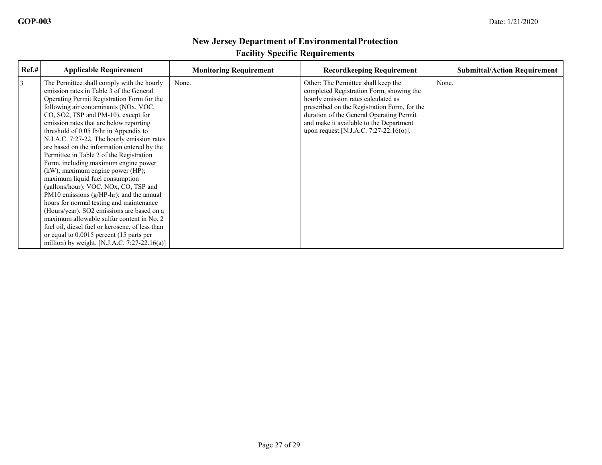| Ref.# | <b>Applicable Requirement</b>                                                                                                                                                                                                                                                                                                                                                                                                                                                                                                                                                                                                                                                                                                                                                                                                                                                                                                                    | <b>Monitoring Requirement</b> | <b>Recordkeeping Requirement</b>                                                                                                                                                                                                                                                                        | <b>Submittal/Action Requirement</b> |
|-------|--------------------------------------------------------------------------------------------------------------------------------------------------------------------------------------------------------------------------------------------------------------------------------------------------------------------------------------------------------------------------------------------------------------------------------------------------------------------------------------------------------------------------------------------------------------------------------------------------------------------------------------------------------------------------------------------------------------------------------------------------------------------------------------------------------------------------------------------------------------------------------------------------------------------------------------------------|-------------------------------|---------------------------------------------------------------------------------------------------------------------------------------------------------------------------------------------------------------------------------------------------------------------------------------------------------|-------------------------------------|
| 3     | The Permittee shall comply with the hourly<br>emission rates in Table 3 of the General<br>Operating Permit Registration Form for the<br>following air contaminants (NOx, VOC,<br>CO, SO2, TSP and PM-10), except for<br>emission rates that are below reporting<br>threshold of 0.05 lb/hr in Appendix to<br>N.J.A.C. 7:27-22. The hourly emission rates<br>are based on the information entered by the<br>Permittee in Table 2 of the Registration<br>Form, including maximum engine power<br>(kW); maximum engine power (HP);<br>maximum liquid fuel consumption<br>(gallons/hour); VOC, NOx, CO, TSP and<br>PM10 emissions $(g/HP-hr)$ ; and the annual<br>hours for normal testing and maintenance<br>(Hours/year). SO2 emissions are based on a<br>maximum allowable sulfur content in No. 2<br>fuel oil, diesel fuel or kerosene, of less than<br>or equal to 0.0015 percent (15 parts per<br>million) by weight. [N.J.A.C. 7:27-22.16(a)] | None.                         | Other: The Permittee shall keep the<br>completed Registration Form, showing the<br>hourly emission rates calculated as<br>prescribed on the Registration Form, for the<br>duration of the General Operating Permit<br>and make it available to the Department<br>upon request.[N.J.A.C. 7:27-22.16(o)]. | None.                               |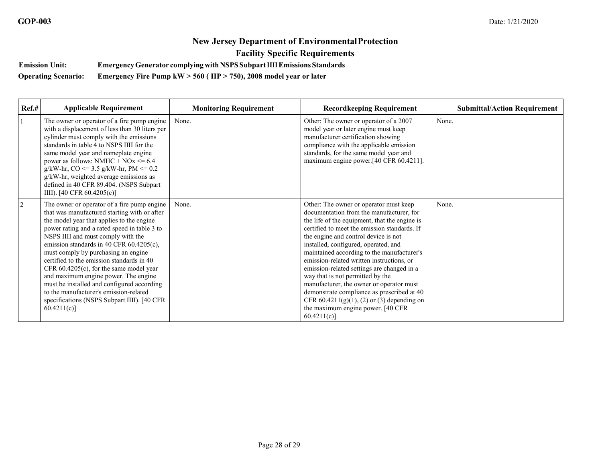**Emission Unit: EmergencyGenerator complyingwithNSPSSubpartIIIIEmissions Standards** 

**Operating Scenario: Emergency Fire Pump kW > 560 ( HP > 750), 2008 model year or later**

| $Ref.$ #       | <b>Applicable Requirement</b>                                                                                                                                                                                                                                                                                                                                                                                                                                                                                                                                                                             | <b>Monitoring Requirement</b> | <b>Recordkeeping Requirement</b>                                                                                                                                                                                                                                                                                                                                                                                                                                                                                                                                                                                                                    | <b>Submittal/Action Requirement</b> |
|----------------|-----------------------------------------------------------------------------------------------------------------------------------------------------------------------------------------------------------------------------------------------------------------------------------------------------------------------------------------------------------------------------------------------------------------------------------------------------------------------------------------------------------------------------------------------------------------------------------------------------------|-------------------------------|-----------------------------------------------------------------------------------------------------------------------------------------------------------------------------------------------------------------------------------------------------------------------------------------------------------------------------------------------------------------------------------------------------------------------------------------------------------------------------------------------------------------------------------------------------------------------------------------------------------------------------------------------------|-------------------------------------|
|                | The owner or operator of a fire pump engine<br>with a displacement of less than 30 liters per<br>cylinder must comply with the emissions<br>standards in table 4 to NSPS IIII for the<br>same model year and nameplate engine<br>power as follows: NMHC + $NOx \le 6.4$<br>$g/kW-hr$ , CO <= 3.5 $g/kW-hr$ , PM <= 0.2<br>g/kW-hr, weighted average emissions as<br>defined in 40 CFR 89.404. (NSPS Subpart<br>IIII). [40 CFR $60.4205(c)$ ]                                                                                                                                                              | None.                         | Other: The owner or operator of a 2007<br>model year or later engine must keep<br>manufacturer certification showing<br>compliance with the applicable emission<br>standards, for the same model year and<br>maximum engine power.[40 CFR 60.4211].                                                                                                                                                                                                                                                                                                                                                                                                 | None.                               |
| $\overline{2}$ | The owner or operator of a fire pump engine<br>that was manufactured starting with or after<br>the model year that applies to the engine<br>power rating and a rated speed in table 3 to<br>NSPS IIII and must comply with the<br>emission standards in 40 CFR 60.4205(c),<br>must comply by purchasing an engine<br>certified to the emission standards in 40<br>CFR $60.4205(c)$ , for the same model year<br>and maximum engine power. The engine<br>must be installed and configured according<br>to the manufacturer's emission-related<br>specifications (NSPS Subpart IIII). [40 CFR<br>60.4211(c) | None.                         | Other: The owner or operator must keep<br>documentation from the manufacturer, for<br>the life of the equipment, that the engine is<br>certified to meet the emission standards. If<br>the engine and control device is not<br>installed, configured, operated, and<br>maintained according to the manufacturer's<br>emission-related written instructions, or<br>emission-related settings are changed in a<br>way that is not permitted by the<br>manufacturer, the owner or operator must<br>demonstrate compliance as prescribed at 40<br>CFR $60.4211(g)(1)$ , (2) or (3) depending on<br>the maximum engine power. [40 CFR<br>$60.4211(c)$ ]. | None.                               |